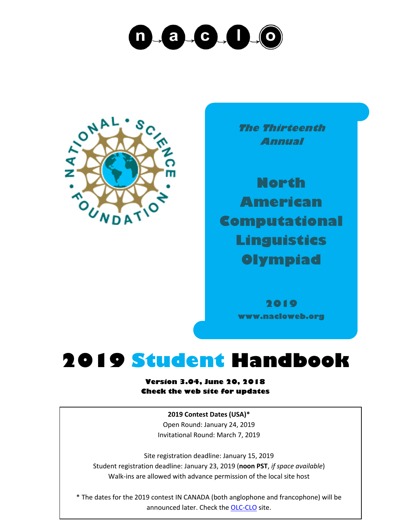## $\mathcal{L}$  and  $\mathcal{L}$  and  $\mathcal{L}$ n



**The Thirteenth Annual**

**North American Computational Linguistics Olympiad**

> **2019 www.nacloweb.org**

## **2019 Student Handbook**

**Version 3.04, June 20, 2018 Check the web site for updates**

> **2019 Contest Dates (USA)\*** Open Round: January 24, 2019 Invitational Round: March 7, 2019

Site registration deadline: January 15, 2019 Student registration deadline: January 23, 2019 (**noon PST**, *if space available*) Walk-ins are allowed with advance permission of the local site host

\* The dates for the 2019 contest IN CANADA (both anglophone and francophone) will be announced later. Check the [OLC-CLO](https://olc-clo.org/) site.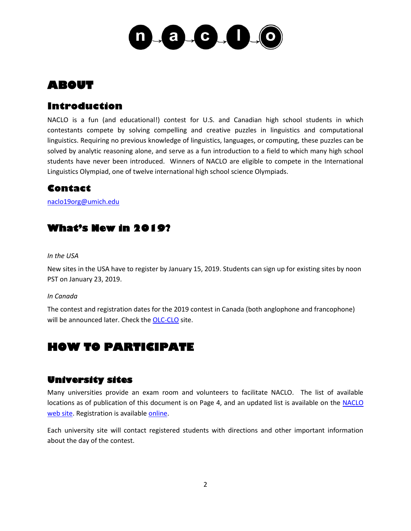

## **ABOUT**

## **Introduction**

NACLO is a fun (and educational!) contest for U.S. and Canadian high school students in which contestants compete by solving compelling and creative puzzles in linguistics and computational linguistics. Requiring no previous knowledge of linguistics, languages, or computing, these puzzles can be solved by analytic reasoning alone, and serve as a fun introduction to a field to which many high school students have never been introduced. Winners of NACLO are eligible to compete in the International Linguistics Olympiad, one of twelve international high school science Olympiads.

## **Contact**

[naclo19org@umich.edu](mailto:naclo19org@umich.edu)

## **What's New in 2019?**

#### *In the USA*

New sites in the USA have to register by January 15, 2019. Students can sign up for existing sites by noon PST on January 23, 2019.

#### *In Canada*

The contest and registration dates for the 2019 contest in Canada (both anglophone and francophone) will be announced later. Check th[e OLC-CLO](https://olc-clo.org/) site.

## **HOW TO PARTICIPATE**

## **University sites**

Many universities provide an exam room and volunteers to facilitate NACLO. The list of available locations as of publication of this document is on Page 4, and an updated list is available on the NACLO [web site.](http://www.nacloweb.org/) Registration is available [online.](http://nacloweb.org/register_student.php)

Each university site will contact registered students with directions and other important information about the day of the contest.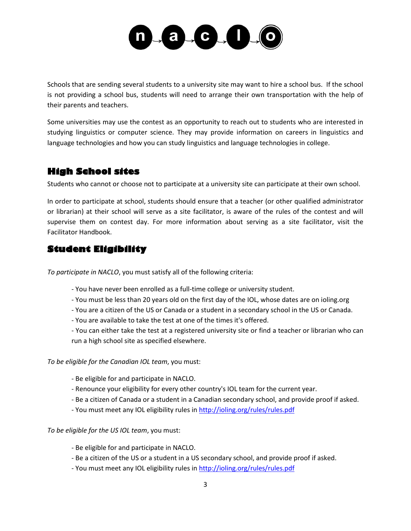

Schools that are sending several students to a university site may want to hire a school bus. If the school is not providing a school bus, students will need to arrange their own transportation with the help of their parents and teachers.

Some universities may use the contest as an opportunity to reach out to students who are interested in studying linguistics or computer science. They may provide information on careers in linguistics and language technologies and how you can study linguistics and language technologies in college.

## **High School sites**

Students who cannot or choose not to participate at a university site can participate at their own school.

In order to participate at school, students should ensure that a teacher (or other qualified administrator or librarian) at their school will serve as a site facilitator, is aware of the rules of the contest and will supervise them on contest day. For more information about serving as a site facilitator, visit the Facilitator Handbook.

## **Student Eligibility**

*To participate in NACLO*, you must satisfy all of the following criteria:

- You have never been enrolled as a full-time college or university student.
- You must be less than 20 years old on the first day of the IOL, whose dates are on ioling.org
- You are a citizen of the US or Canada or a student in a secondary school in the US or Canada.
- You are available to take the test at one of the times it's offered.
- You can either take the test at a registered university site or find a teacher or librarian who can run a high school site as specified elsewhere.

*To be eligible for the Canadian IOL team*, you must:

- Be eligible for and participate in NACLO.
- Renounce your eligibility for every other country's IOL team for the current year.
- Be a citizen of Canada or a student in a Canadian secondary school, and provide proof if asked.
- You must meet any IOL eligibility rules i[n http://ioling.org/rules/rules.pdf](http://ioling.org/rules/rules.pdf)

*To be eligible for the US IOL team*, you must:

- Be eligible for and participate in NACLO.
- Be a citizen of the US or a student in a US secondary school, and provide proof if asked.
- You must meet any IOL eligibility rules i[n http://ioling.org/rules/rules.pdf](http://ioling.org/rules/rules.pdf)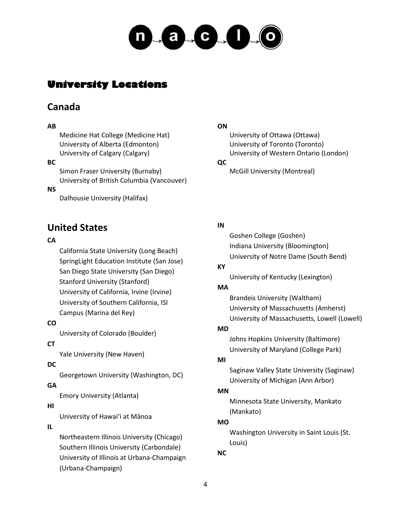

## **University Locations**

## **Canada**

#### **AB**

Medicine Hat College (Medicine Hat) University of Alberta (Edmonton) University of Calgary (Calgary)

## **BC**

Simon Fraser University (Burnaby) University of British Columbia (Vancouver)

#### **NS**

Dalhousie University (Halifax)

## **United States**

## **CA**

California State University (Long Beach) SpringLight Education Institute (San Jose) San Diego State University (San Diego) Stanford University (Stanford) University of California, Irvine (Irvine) University of Southern California, ISI Campus (Marina del Rey)

## **CO**

University of Colorado (Boulder)

## **CT**

Yale University (New Haven)

## **DC**

Georgetown University (Washington, DC)

## **GA**

Emory University (Atlanta)

## **HI**

University of Hawaiʻi at Mānoa

## **IL**

Northeastern Illinois University (Chicago) Southern Illinois University (Carbondale) University of Illinois at Urbana-Champaign (Urbana-Champaign)

## **ON**

University of Ottawa (Ottawa) University of Toronto (Toronto) University of Western Ontario (London)

## **QC**

McGill University (Montreal)

## **IN**

Goshen College (Goshen) Indiana University (Bloomington) University of Notre Dame (South Bend)

## **KY**

University of Kentucky (Lexington)

## **MA**

Brandeis University (Waltham) University of Massachusetts (Amherst) University of Massachusetts, Lowell (Lowell)

## **MD**

Johns Hopkins University (Baltimore) University of Maryland (College Park)

## **MI**

Saginaw Valley State University (Saginaw) University of Michigan (Ann Arbor)

## **MN**

Minnesota State University, Mankato (Mankato)

## **MO**

Washington University in Saint Louis (St. Louis)

## **NC**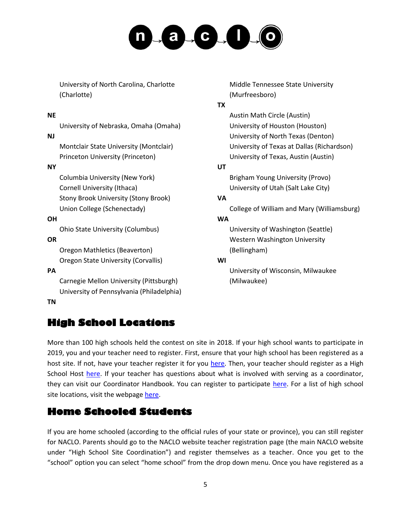# $-a$   $-c$   $1$   $0$

University of North Carolina, Charlotte (Charlotte)

## **NE**

University of Nebraska, Omaha (Omaha)

## **NJ**

Montclair State University (Montclair) Princeton University (Princeton)

## **NY**

Columbia University (New York) Cornell University (Ithaca) Stony Brook University (Stony Brook) Union College (Schenectady)

## **OH**

Ohio State University (Columbus)

## **OR**

Oregon Mathletics (Beaverton) Oregon State University (Corvallis)

## **PA**

Carnegie Mellon University (Pittsburgh) University of Pennsylvania (Philadelphia)

## **TN**

## **High School Locations**

Middle Tennessee State University (Murfreesboro)

#### **TX**

Austin Math Circle (Austin) University of Houston (Houston) University of North Texas (Denton) University of Texas at Dallas (Richardson) University of Texas, Austin (Austin)

## **UT**

Brigham Young University (Provo) University of Utah (Salt Lake City)

## **VA**

College of William and Mary (Williamsburg)

## **WA**

University of Washington (Seattle) Western Washington University (Bellingham)

## **WI**

University of Wisconsin, Milwaukee (Milwaukee)

More than 100 high schools held the contest on site in 2018. If your high school wants to participate in 2019, you and your teacher need to register. First, ensure that your high school has been registered as a host site. If not, have your teacher register it for you [here.](http://nacloweb.org/register_highsite.php) Then, your teacher should register as a High School Host [here.](http://nacloweb.org/register_highhost.php) If your teacher has questions about what is involved with serving as a coordinator, they can visit our Coordinator Handbook. You can register to participate [here.](http://nacloweb.org/register_student.php) For a list of high school site locations, visit the webpage [here.](http://www.nacloweb.org/high_school_sites.php)

## **Home Schooled Students**

If you are home schooled (according to the official rules of your state or province), you can still register for NACLO. Parents should go to the NACLO website teacher registration page (the main NACLO website under "High School Site Coordination") and register themselves as a teacher. Once you get to the "school" option you can select "home school" from the drop down menu. Once you have registered as a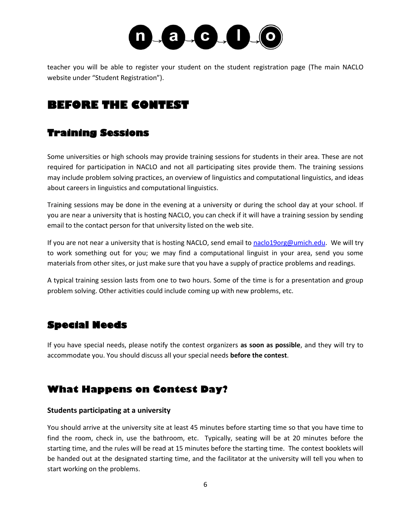

teacher you will be able to register your student on the student registration page (The main NACLO website under "Student Registration").

## **BEFORE THE CONTEST**

## **Training Sessions**

Some universities or high schools may provide training sessions for students in their area. These are not required for participation in NACLO and not all participating sites provide them. The training sessions may include problem solving practices, an overview of linguistics and computational linguistics, and ideas about careers in linguistics and computational linguistics.

Training sessions may be done in the evening at a university or during the school day at your school. If you are near a university that is hosting NACLO, you can check if it will have a training session by sending email to the contact person for that university listed on the web site.

If you are not near a university that is hosting NACLO, send email to [naclo19org@umich.edu.](mailto:naclo19org@umich.edu) We will try to work something out for you; we may find a computational linguist in your area, send you some materials from other sites, or just make sure that you have a supply of practice problems and readings.

A typical training session lasts from one to two hours. Some of the time is for a presentation and group problem solving. Other activities could include coming up with new problems, etc.

## **Special Needs**

If you have special needs, please notify the contest organizers **as soon as possible**, and they will try to accommodate you. You should discuss all your special needs **before the contest**.

## **What Happens on Contest Day?**

## **Students participating at a university**

You should arrive at the university site at least 45 minutes before starting time so that you have time to find the room, check in, use the bathroom, etc. Typically, seating will be at 20 minutes before the starting time, and the rules will be read at 15 minutes before the starting time. The contest booklets will be handed out at the designated starting time, and the facilitator at the university will tell you when to start working on the problems.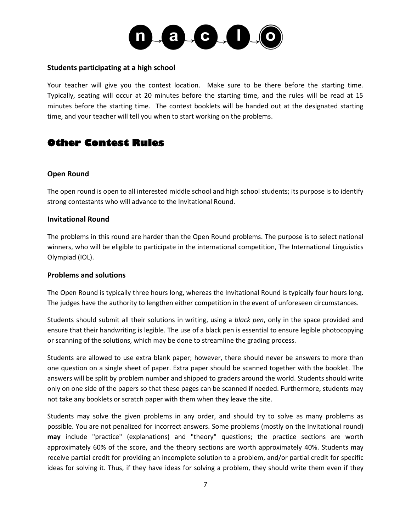

#### **Students participating at a high school**

Your teacher will give you the contest location. Make sure to be there before the starting time. Typically, seating will occur at 20 minutes before the starting time, and the rules will be read at 15 minutes before the starting time. The contest booklets will be handed out at the designated starting time, and your teacher will tell you when to start working on the problems.

## **Other Contest Rules**

## **Open Round**

The open round is open to all interested middle school and high school students; its purpose is to identify strong contestants who will advance to the Invitational Round.

#### **Invitational Round**

The problems in this round are harder than the Open Round problems. The purpose is to select national winners, who will be eligible to participate in the international competition, The International Linguistics Olympiad (IOL).

## **Problems and solutions**

The Open Round is typically three hours long, whereas the Invitational Round is typically four hours long. The judges have the authority to lengthen either competition in the event of unforeseen circumstances.

Students should submit all their solutions in writing, using a *black pen*, only in the space provided and ensure that their handwriting is legible. The use of a black pen is essential to ensure legible photocopying or scanning of the solutions, which may be done to streamline the grading process.

Students are allowed to use extra blank paper; however, there should never be answers to more than one question on a single sheet of paper. Extra paper should be scanned together with the booklet. The answers will be split by problem number and shipped to graders around the world. Students should write only on one side of the papers so that these pages can be scanned if needed. Furthermore, students may not take any booklets or scratch paper with them when they leave the site.

Students may solve the given problems in any order, and should try to solve as many problems as possible. You are not penalized for incorrect answers. Some problems (mostly on the Invitational round) **may** include "practice" (explanations) and "theory" questions; the practice sections are worth approximately 60% of the score, and the theory sections are worth approximately 40%. Students may receive partial credit for providing an incomplete solution to a problem, and/or partial credit for specific ideas for solving it. Thus, if they have ideas for solving a problem, they should write them even if they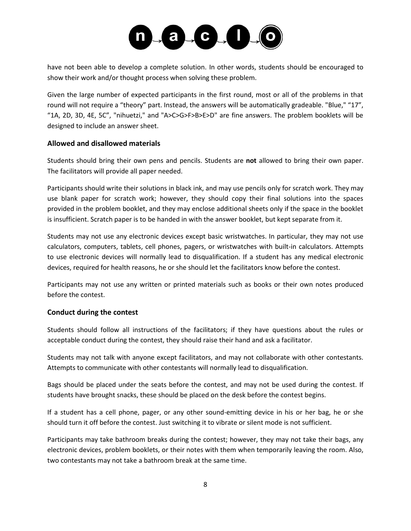

have not been able to develop a complete solution. In other words, students should be encouraged to show their work and/or thought process when solving these problem.

Given the large number of expected participants in the first round, most or all of the problems in that round will not require a "theory" part. Instead, the answers will be automatically gradeable. "Blue," "17", "1A, 2D, 3D, 4E, 5C", "nihuetzi," and "A>C>G>F>B>E>D" are fine answers. The problem booklets will be designed to include an answer sheet.

## **Allowed and disallowed materials**

Students should bring their own pens and pencils. Students are **not** allowed to bring their own paper. The facilitators will provide all paper needed.

Participants should write their solutions in black ink, and may use pencils only for scratch work. They may use blank paper for scratch work; however, they should copy their final solutions into the spaces provided in the problem booklet, and they may enclose additional sheets only if the space in the booklet is insufficient. Scratch paper is to be handed in with the answer booklet, but kept separate from it.

Students may not use any electronic devices except basic wristwatches. In particular, they may not use calculators, computers, tablets, cell phones, pagers, or wristwatches with built-in calculators. Attempts to use electronic devices will normally lead to disqualification. If a student has any medical electronic devices, required for health reasons, he or she should let the facilitators know before the contest.

Participants may not use any written or printed materials such as books or their own notes produced before the contest.

## **Conduct during the contest**

Students should follow all instructions of the facilitators; if they have questions about the rules or acceptable conduct during the contest, they should raise their hand and ask a facilitator.

Students may not talk with anyone except facilitators, and may not collaborate with other contestants. Attempts to communicate with other contestants will normally lead to disqualification.

Bags should be placed under the seats before the contest, and may not be used during the contest. If students have brought snacks, these should be placed on the desk before the contest begins.

If a student has a cell phone, pager, or any other sound-emitting device in his or her bag, he or she should turn it off before the contest. Just switching it to vibrate or silent mode is not sufficient.

Participants may take bathroom breaks during the contest; however, they may not take their bags, any electronic devices, problem booklets, or their notes with them when temporarily leaving the room. Also, two contestants may not take a bathroom break at the same time.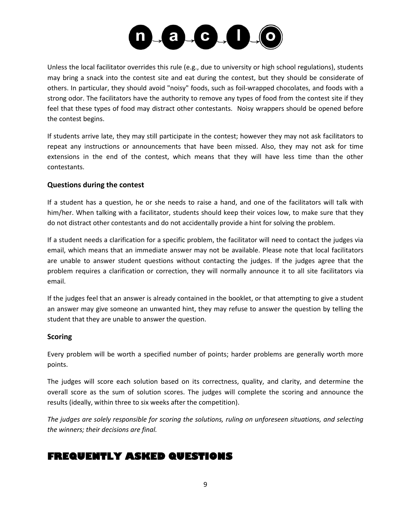

Unless the local facilitator overrides this rule (e.g., due to university or high school regulations), students may bring a snack into the contest site and eat during the contest, but they should be considerate of others. In particular, they should avoid "noisy" foods, such as foil-wrapped chocolates, and foods with a strong odor. The facilitators have the authority to remove any types of food from the contest site if they feel that these types of food may distract other contestants. Noisy wrappers should be opened before the contest begins.

If students arrive late, they may still participate in the contest; however they may not ask facilitators to repeat any instructions or announcements that have been missed. Also, they may not ask for time extensions in the end of the contest, which means that they will have less time than the other contestants.

## **Questions during the contest**

If a student has a question, he or she needs to raise a hand, and one of the facilitators will talk with him/her. When talking with a facilitator, students should keep their voices low, to make sure that they do not distract other contestants and do not accidentally provide a hint for solving the problem.

If a student needs a clarification for a specific problem, the facilitator will need to contact the judges via email, which means that an immediate answer may not be available. Please note that local facilitators are unable to answer student questions without contacting the judges. If the judges agree that the problem requires a clarification or correction, they will normally announce it to all site facilitators via email.

If the judges feel that an answer is already contained in the booklet, or that attempting to give a student an answer may give someone an unwanted hint, they may refuse to answer the question by telling the student that they are unable to answer the question.

## **Scoring**

Every problem will be worth a specified number of points; harder problems are generally worth more points.

The judges will score each solution based on its correctness, quality, and clarity, and determine the overall score as the sum of solution scores. The judges will complete the scoring and announce the results (ideally, within three to six weeks after the competition).

*The judges are solely responsible for scoring the solutions, ruling on unforeseen situations, and selecting the winners; their decisions are final.*

## **FREQUENTLY ASKED QUESTIONS**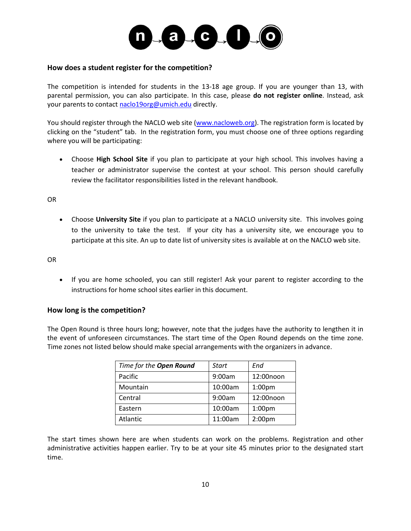

#### **How does a student register for the competition?**

The competition is intended for students in the 13-18 age group. If you are younger than 13, with parental permission, you can also participate. In this case, please **do not register online**. Instead, ask your parents to contact [naclo19org@umich.edu](mailto:naclo19org@umich.edu) directly.

You should register through the NACLO web site [\(www.nacloweb.org\)](http://www.nacloweb.org/). The registration form is located by clicking on the "student" tab. In the registration form, you must choose one of three options regarding where you will be participating:

 Choose **High School Site** if you plan to participate at your high school. This involves having a teacher or administrator supervise the contest at your school. This person should carefully review the facilitator responsibilities listed in the relevant handbook.

OR

 Choose **University Site** if you plan to participate at a NACLO university site. This involves going to the university to take the test. If your city has a university site, we encourage you to participate at this site. An up to date list of university sites is available at on the NACLO web site.

OR

• If you are home schooled, you can still register! Ask your parent to register according to the instructions for home school sites earlier in this document.

## **How long is the competition?**

The Open Round is three hours long; however, note that the judges have the authority to lengthen it in the event of unforeseen circumstances. The start time of the Open Round depends on the time zone. Time zones not listed below should make special arrangements with the organizers in advance.

| Time for the Open Round | Start   | End                |
|-------------------------|---------|--------------------|
| Pacific                 | 9:00am  | 12:00noon          |
| Mountain                | 10:00am | 1:00 <sub>pm</sub> |
| Central                 | 9:00am  | 12:00noon          |
| Eastern                 | 10:00am | 1:00 <sub>pm</sub> |
| Atlantic                | 11:00am | 2:00 <sub>pm</sub> |

The start times shown here are when students can work on the problems. Registration and other administrative activities happen earlier. Try to be at your site 45 minutes prior to the designated start time.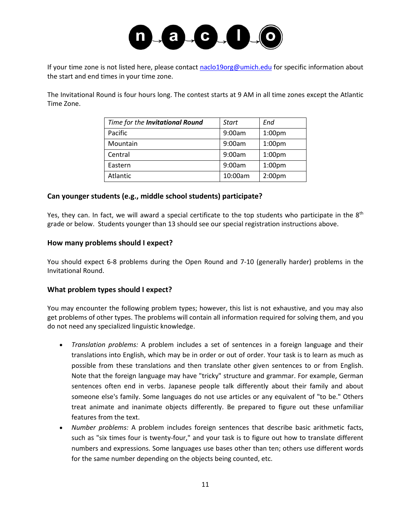

If your time zone is not listed here, please contact [naclo19org@umich.edu](mailto:naclo19org@umich.edu) for specific information about the start and end times in your time zone.

The Invitational Round is four hours long. The contest starts at 9 AM in all time zones except the Atlantic Time Zone.

| Time for the Invitational Round | Start   | End                |
|---------------------------------|---------|--------------------|
| Pacific                         | 9:00am  | 1:00 <sub>pm</sub> |
| Mountain                        | 9:00am  | 1:00 <sub>pm</sub> |
| Central                         | 9:00am  | 1:00 <sub>pm</sub> |
| Eastern                         | 9:00am  | 1:00 <sub>pm</sub> |
| Atlantic                        | 10:00am | 2:00 <sub>pm</sub> |

## **Can younger students (e.g., middle school students) participate?**

Yes, they can. In fact, we will award a special certificate to the top students who participate in the 8<sup>th</sup> grade or below. Students younger than 13 should see our special registration instructions above.

#### **How many problems should I expect?**

You should expect 6-8 problems during the Open Round and 7-10 (generally harder) problems in the Invitational Round.

## **What problem types should I expect?**

You may encounter the following problem types; however, this list is not exhaustive, and you may also get problems of other types. The problems will contain all information required for solving them, and you do not need any specialized linguistic knowledge.

- *Translation problems:* A problem includes a set of sentences in a foreign language and their translations into English, which may be in order or out of order. Your task is to learn as much as possible from these translations and then translate other given sentences to or from English. Note that the foreign language may have "tricky" structure and grammar. For example, German sentences often end in verbs. Japanese people talk differently about their family and about someone else's family. Some languages do not use articles or any equivalent of "to be." Others treat animate and inanimate objects differently. Be prepared to figure out these unfamiliar features from the text.
- *Number problems:* A problem includes foreign sentences that describe basic arithmetic facts, such as "six times four is twenty-four," and your task is to figure out how to translate different numbers and expressions. Some languages use bases other than ten; others use different words for the same number depending on the objects being counted, etc.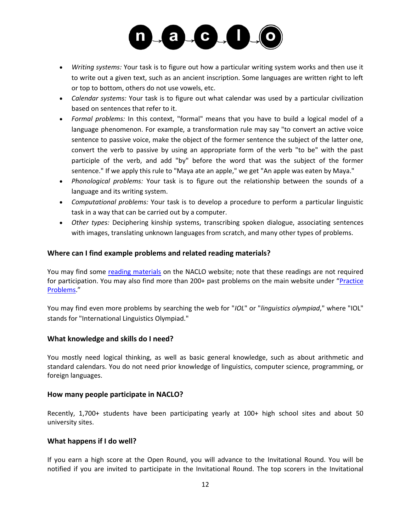

- *Writing systems:* Your task is to figure out how a particular writing system works and then use it to write out a given text, such as an ancient inscription. Some languages are written right to left or top to bottom, others do not use vowels, etc.
- *Calendar systems:* Your task is to figure out what calendar was used by a particular civilization based on sentences that refer to it.
- *Formal problems:* In this context, "formal" means that you have to build a logical model of a language phenomenon. For example, a transformation rule may say "to convert an active voice sentence to passive voice, make the object of the former sentence the subject of the latter one, convert the verb to passive by using an appropriate form of the verb "to be" with the past participle of the verb, and add "by" before the word that was the subject of the former sentence." If we apply this rule to "Maya ate an apple," we get "An apple was eaten by Maya."
- *Phonological problems:* Your task is to figure out the relationship between the sounds of a language and its writing system.
- *Computational problems:* Your task is to develop a procedure to perform a particular linguistic task in a way that can be carried out by a computer.
- *Other types:* Deciphering kinship systems, transcribing spoken dialogue, associating sentences with images, translating unknown languages from scratch, and many other types of problems.

## **Where can I find example problems and related reading materials?**

You may find some [reading materials](http://nacloweb.org/resources.php) on the NACLO website; note that these readings are not required for participation. You may also find more than 200+ past problems on the main website under "[Practice](http://nacloweb.org/practice.php)  [Problems](http://nacloweb.org/practice.php)."

You may find even more problems by searching the web for "*IOL*" or "*linguistics olympiad*," where "IOL" stands for "International Linguistics Olympiad."

## **What knowledge and skills do I need?**

You mostly need logical thinking, as well as basic general knowledge, such as about arithmetic and standard calendars. You do not need prior knowledge of linguistics, computer science, programming, or foreign languages.

## **How many people participate in NACLO?**

Recently, 1,700+ students have been participating yearly at 100+ high school sites and about 50 university sites.

## **What happens if I do well?**

If you earn a high score at the Open Round, you will advance to the Invitational Round. You will be notified if you are invited to participate in the Invitational Round. The top scorers in the Invitational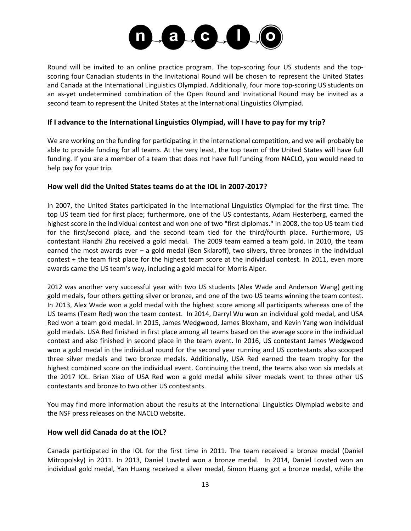

Round will be invited to an online practice program. The top-scoring four US students and the topscoring four Canadian students in the Invitational Round will be chosen to represent the United States and Canada at the International Linguistics Olympiad. Additionally, four more top-scoring US students on an as-yet undetermined combination of the Open Round and Invitational Round may be invited as a second team to represent the United States at the International Linguistics Olympiad.

## **If I advance to the International Linguistics Olympiad, will I have to pay for my trip?**

We are working on the funding for participating in the international competition, and we will probably be able to provide funding for all teams. At the very least, the top team of the United States will have full funding. If you are a member of a team that does not have full funding from NACLO, you would need to help pay for your trip.

## **How well did the United States teams do at the IOL in 2007-2017?**

In 2007, the United States participated in the International Linguistics Olympiad for the first time. The top US team tied for first place; furthermore, one of the US contestants, Adam Hesterberg, earned the highest score in the individual contest and won one of two "first diplomas." In 2008, the top US team tied for the first/second place, and the second team tied for the third/fourth place. Furthermore, US contestant Hanzhi Zhu received a gold medal. The 2009 team earned a team gold. In 2010, the team earned the most awards ever – a gold medal (Ben Sklaroff), two silvers, three bronzes in the individual contest + the team first place for the highest team score at the individual contest. In 2011, even more awards came the US team's way, including a gold medal for Morris Alper.

2012 was another very successful year with two US students (Alex Wade and Anderson Wang) getting gold medals, four others getting silver or bronze, and one of the two US teams winning the team contest. In 2013, Alex Wade won a gold medal with the highest score among all participants whereas one of the US teams (Team Red) won the team contest. In 2014, Darryl Wu won an individual gold medal, and USA Red won a team gold medal. In 2015, James Wedgwood, James Bloxham, and Kevin Yang won individual gold medals. USA Red finished in first place among all teams based on the average score in the individual contest and also finished in second place in the team event. In 2016, US contestant James Wedgwood won a gold medal in the individual round for the second year running and US contestants also scooped three silver medals and two bronze medals. Additionally, USA Red earned the team trophy for the highest combined score on the individual event. Continuing the trend, the teams also won six medals at the 2017 IOL. Brian Xiao of USA Red won a gold medal while silver medals went to three other US contestants and bronze to two other US contestants.

You may find more information about the results at the International Linguistics Olympiad website and the NSF press releases on the NACLO website.

## **How well did Canada do at the IOL?**

Canada participated in the IOL for the first time in 2011. The team received a bronze medal (Daniel Mitropolsky) in 2011. In 2013, Daniel Lovsted won a bronze medal. In 2014, Daniel Lovsted won an individual gold medal, Yan Huang received a silver medal, Simon Huang got a bronze medal, while the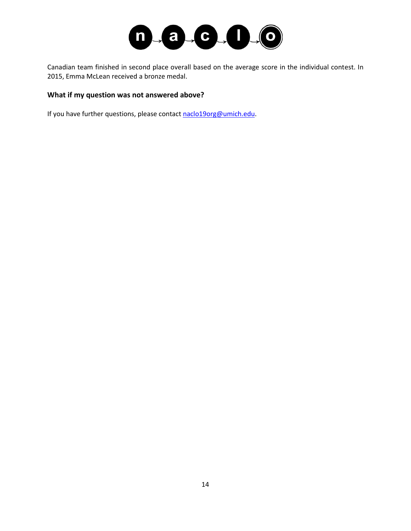

Canadian team finished in second place overall based on the average score in the individual contest. In 2015, Emma McLean received a bronze medal.

## **What if my question was not answered above?**

If you have further questions, please contact [naclo19org@umich.edu.](mailto:naclo19org@umich.edu)